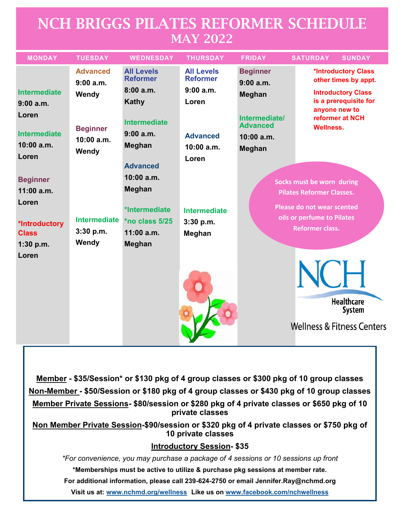## NCH BRIGGS PILATES REFORMER SCHEDULE MAY 2022

| <b>MONDAY</b>                                | <b>TUESDAY</b>                           | <b>WEDNESDAY</b>                     | <b>THURSDAY</b>                      | <b>FRIDAY</b>                    | <b>SATURDAY</b><br><b>SUNDAY</b>                              |
|----------------------------------------------|------------------------------------------|--------------------------------------|--------------------------------------|----------------------------------|---------------------------------------------------------------|
|                                              | <b>Advanced</b><br>9:00a.m.              | <b>All Levels</b><br><b>Reformer</b> | <b>All Levels</b><br><b>Reformer</b> | <b>Beginner</b><br>9:00a.m.      | *Introductory Class<br>other times by appt.                   |
| <b>Intermediate</b>                          | Wendy                                    | 8:00a.m.                             | 9:00 a.m.                            | <b>Meghan</b>                    | <b>Introductory Class</b>                                     |
| 9:00a.m.                                     |                                          | Kathy                                | Loren                                |                                  | is a prerequisite for<br>anyone new to                        |
| Loren                                        | <b>Beginner</b><br>$10:00$ a.m.<br>Wendy | <b>Intermediate</b>                  |                                      | Intermediate/<br><b>Advanced</b> | reformer at NCH<br><b>Wellness.</b>                           |
| <b>Intermediate</b><br>$10:00$ a.m.<br>Loren |                                          | 9:00a.m.                             | <b>Advanced</b>                      | 10:00 a.m.                       |                                                               |
|                                              |                                          | Meghan                               | $10:00$ a.m.                         | <b>Meghan</b>                    |                                                               |
|                                              |                                          | <b>Advanced</b>                      | Loren                                |                                  |                                                               |
| <b>Beginner</b>                              |                                          | 10:00 a.m.                           |                                      |                                  |                                                               |
| $11:00$ a.m.                                 |                                          | Meghan                               |                                      |                                  | Socks must be worn during<br><b>Pilates Reformer Classes.</b> |
| Loren                                        |                                          |                                      |                                      |                                  |                                                               |
|                                              |                                          | *Intermediate                        | Intermediate                         |                                  | Please do not wear scented                                    |
| *Introductory                                | <b>Intermediate</b>                      | *no class 5/25                       | $3:30$ p.m.                          |                                  | oils or perfume to Pilates                                    |
| <b>Class</b>                                 | 3:30 p.m.                                | $11:00$ a.m.                         | Meghan                               |                                  | <b>Reformer class.</b>                                        |
| $1:30$ p.m.                                  | Wendy                                    | Meghan                               |                                      |                                  |                                                               |
| Loren                                        |                                          |                                      |                                      |                                  |                                                               |
|                                              |                                          |                                      |                                      |                                  | NC H                                                          |
|                                              |                                          |                                      |                                      |                                  | <b>Healthcare</b>                                             |
|                                              |                                          |                                      |                                      |                                  | <b>System</b>                                                 |
|                                              |                                          |                                      |                                      |                                  | <b>Wellness &amp; Fitness Centers</b>                         |

**Member - \$35/Session\* or \$130 pkg of 4 group classes or \$300 pkg of 10 group classes Non-Member - \$50/Session or \$180 pkg of 4 group classes or \$430 pkg of 10 group classes Member Private Sessions- \$80/session or \$280 pkg of 4 private classes or \$650 pkg of 10 private classes**

**Non Member Private Session-\$90/session or \$320 pkg of 4 private classes or \$750 pkg of 10 private classes**

## **Introductory Session- \$35**

*\*For convenience, you may purchase a package of 4 sessions or 10 sessions up front* **\*Memberships must be active to utilize & purchase pkg sessions at member rate. For additional information, please call 239-624-2750 or email Jennifer.Ray@nchmd.org**

**Visit us at: [www.nchmd.org/wellness](http://www.nchmd.org/wellness) Like us on [www.facebook.com/nchwellness](http://www.facebook.com/nchwellness)**